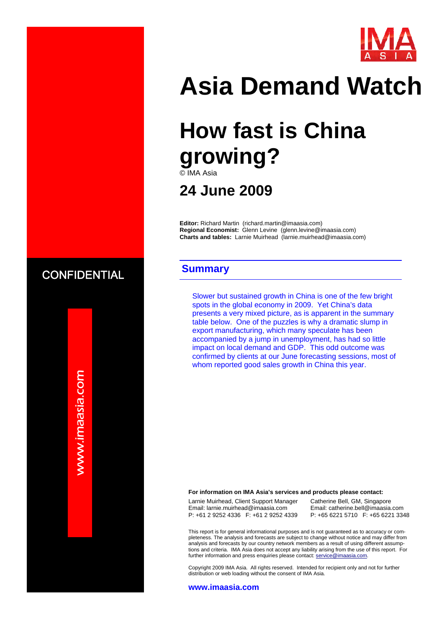

# **Asia Demand Watch**

# **How fast is China growing?**

© IMA Asia

### **24 June 2009**

**Editor:** Richard Martin (richard.martin@imaasia.com) **Regional Economist:** Glenn Levine (glenn.levine@imaasia.com) **Charts and tables:** Larnie Muirhead (larnie.muirhead@imaasia.com)

### **Summary**

Slower but sustained growth in China is one of the few bright spots in the global economy in 2009. Yet China's data presents a very mixed picture, as is apparent in the summary table below. One of the puzzles is why a dramatic slump in export manufacturing, which many speculate has been accompanied by a jump in unemployment, has had so little impact on local demand and GDP. This odd outcome was confirmed by clients at our June forecasting sessions, most of whom reported good sales growth in China this year.

#### **For information on IMA Asia's services and products please contact:**

Larnie Muirhead, Client Support Manager Email: larnie.muirhead@imaasia.com P: +61 2 9252 4336 F: +61 2 9252 4339

Catherine Bell, GM, Singapore Email: catherine.bell@imaasia.com P: +65 6221 5710 F: +65 6221 3348

This report is for general informational purposes and is not guaranteed as to accuracy or completeness. The analysis and forecasts are subject to change without notice and may differ from analysis and forecasts by our country network members as a result of using different assumptions and criteria. IMA Asia does not accept any liability arising from the use of this report. For further information and press enquiries please contact: service@imaasia.com.

Copyright 2009 IMA Asia. All rights reserved. Intended for recipient only and not for further distribution or web loading without the consent of IMA Asia.

#### **www.imaasia.com**

www.imaasia.com www.imaasia.com

**CONFIDENTIAL**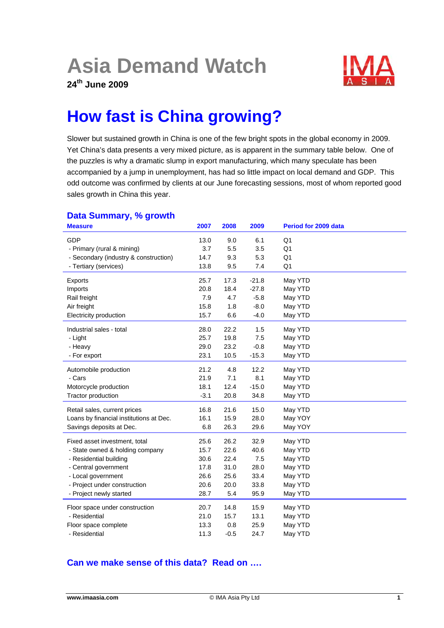## **Asia Demand Watch**

**24th June 2009** 



## **How fast is China growing?**

Slower but sustained growth in China is one of the few bright spots in the global economy in 2009. Yet China's data presents a very mixed picture, as is apparent in the summary table below. One of the puzzles is why a dramatic slump in export manufacturing, which many speculate has been accompanied by a jump in unemployment, has had so little impact on local demand and GDP. This odd outcome was confirmed by clients at our June forecasting sessions, most of whom reported good sales growth in China this year.

| <b>Measure</b>                          | 2007   | 2008   | 2009    | Period for 2009 data |
|-----------------------------------------|--------|--------|---------|----------------------|
| GDP                                     | 13.0   | 9.0    | 6.1     | Q1                   |
| - Primary (rural & mining)              | 3.7    | 5.5    | 3.5     | Q <sub>1</sub>       |
| - Secondary (industry & construction)   | 14.7   | 9.3    | 5.3     | Q <sub>1</sub>       |
| - Tertiary (services)                   | 13.8   | 9.5    | 7.4     | Q <sub>1</sub>       |
| Exports                                 | 25.7   | 17.3   | $-21.8$ | May YTD              |
| Imports                                 | 20.8   | 18.4   | $-27.8$ | May YTD              |
| Rail freight                            | 7.9    | 4.7    | $-5.8$  | May YTD              |
| Air freight                             | 15.8   | 1.8    | $-8.0$  | May YTD              |
| Electricity production                  | 15.7   | 6.6    | $-4.0$  | May YTD              |
| Industrial sales - total                | 28.0   | 22.2   | 1.5     | May YTD              |
| - Light                                 | 25.7   | 19.8   | 7.5     | May YTD              |
| - Heavy                                 | 29.0   | 23.2   | $-0.8$  | May YTD              |
| - For export                            | 23.1   | 10.5   | $-15.3$ | May YTD              |
| Automobile production                   | 21.2   | 4.8    | 12.2    | May YTD              |
| - Cars                                  | 21.9   | 7.1    | 8.1     | May YTD              |
| Motorcycle production                   | 18.1   | 12.4   | $-15.0$ | May YTD              |
| Tractor production                      | $-3.1$ | 20.8   | 34.8    | May YTD              |
| Retail sales, current prices            | 16.8   | 21.6   | 15.0    | May YTD              |
| Loans by financial institutions at Dec. | 16.1   | 15.9   | 28.0    | May YOY              |
| Savings deposits at Dec.                | 6.8    | 26.3   | 29.6    | May YOY              |
| Fixed asset investment, total           | 25.6   | 26.2   | 32.9    | May YTD              |
| - State owned & holding company         | 15.7   | 22.6   | 40.6    | May YTD              |
| - Residential building                  | 30.6   | 22.4   | 7.5     | May YTD              |
| - Central government                    | 17.8   | 31.0   | 28.0    | May YTD              |
| - Local government                      | 26.6   | 25.6   | 33.4    | May YTD              |
| - Project under construction            | 20.6   | 20.0   | 33.8    | May YTD              |
| - Project newly started                 | 28.7   | 5.4    | 95.9    | May YTD              |
| Floor space under construction          | 20.7   | 14.8   | 15.9    | May YTD              |
| - Residential                           | 21.0   | 15.7   | 13.1    | May YTD              |
| Floor space complete                    | 13.3   | 0.8    | 25.9    | May YTD              |
| - Residential                           | 11.3   | $-0.5$ | 24.7    | May YTD              |

### **Data Summary, % growth**

#### **Can we make sense of this data? Read on ….**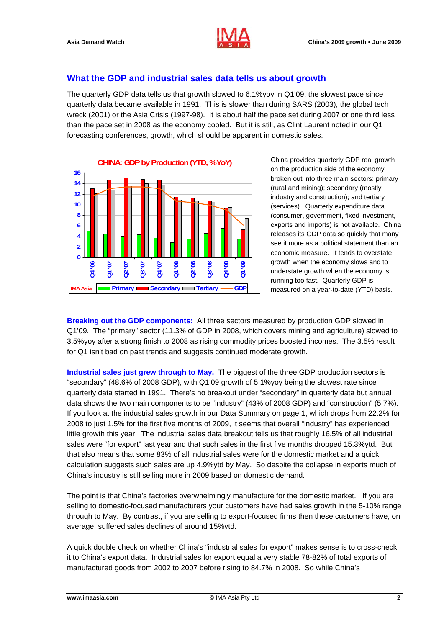

#### **What the GDP and industrial sales data tells us about growth**

The quarterly GDP data tells us that growth slowed to 6.1%yoy in Q1'09, the slowest pace since quarterly data became available in 1991. This is slower than during SARS (2003), the global tech wreck (2001) or the Asia Crisis (1997-98). It is about half the pace set during 2007 or one third less than the pace set in 2008 as the economy cooled. But it is still, as Clint Laurent noted in our Q1 forecasting conferences, growth, which should be apparent in domestic sales.



China provides quarterly GDP real growth on the production side of the economy broken out into three main sectors: primary (rural and mining); secondary (mostly industry and construction); and tertiary (services). Quarterly expenditure data (consumer, government, fixed investment, exports and imports) is not available. China releases its GDP data so quickly that many see it more as a political statement than an economic measure. It tends to overstate growth when the economy slows and to understate growth when the economy is running too fast. Quarterly GDP is measured on a year-to-date (YTD) basis.

**Breaking out the GDP components:** All three sectors measured by production GDP slowed in Q1'09. The "primary" sector (11.3% of GDP in 2008, which covers mining and agriculture) slowed to 3.5%yoy after a strong finish to 2008 as rising commodity prices boosted incomes. The 3.5% result for Q1 isn't bad on past trends and suggests continued moderate growth.

**Industrial sales just grew through to May.** The biggest of the three GDP production sectors is "secondary" (48.6% of 2008 GDP), with Q1'09 growth of 5.1%yoy being the slowest rate since quarterly data started in 1991. There's no breakout under "secondary" in quarterly data but annual data shows the two main components to be "industry" (43% of 2008 GDP) and "construction" (5.7%). If you look at the industrial sales growth in our Data Summary on page 1, which drops from 22.2% for 2008 to just 1.5% for the first five months of 2009, it seems that overall "industry" has experienced little growth this year. The industrial sales data breakout tells us that roughly 16.5% of all industrial sales were "for export" last year and that such sales in the first five months dropped 15.3%ytd. But that also means that some 83% of all industrial sales were for the domestic market and a quick calculation suggests such sales are up 4.9%ytd by May. So despite the collapse in exports much of China's industry is still selling more in 2009 based on domestic demand.

The point is that China's factories overwhelmingly manufacture for the domestic market. If you are selling to domestic-focused manufacturers your customers have had sales growth in the 5-10% range through to May. By contrast, if you are selling to export-focused firms then these customers have, on average, suffered sales declines of around 15%ytd.

A quick double check on whether China's "industrial sales for export" makes sense is to cross-check it to China's export data. Industrial sales for export equal a very stable 78-82% of total exports of manufactured goods from 2002 to 2007 before rising to 84.7% in 2008. So while China's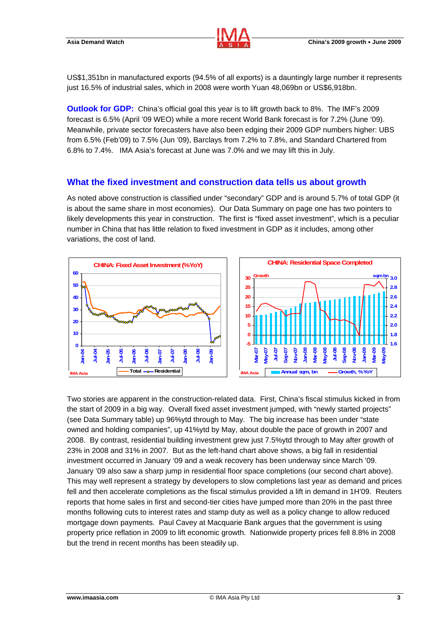

US\$1,351bn in manufactured exports (94.5% of all exports) is a dauntingly large number it represents just 16.5% of industrial sales, which in 2008 were worth Yuan 48,069bn or US\$6,918bn.

**Outlook for GDP:** China's official goal this year is to lift growth back to 8%. The IMF's 2009 forecast is 6.5% (April '09 WEO) while a more recent World Bank forecast is for 7.2% (June '09). Meanwhile, private sector forecasters have also been edging their 2009 GDP numbers higher: UBS from 6.5% (Feb'09) to 7.5% (Jun '09), Barclays from 7.2% to 7.8%, and Standard Chartered from 6.8% to 7.4%. IMA Asia's forecast at June was 7.0% and we may lift this in July.

#### **What the fixed investment and construction data tells us about growth**

As noted above construction is classified under "secondary" GDP and is around 5.7% of total GDP (it is about the same share in most economies). Our Data Summary on page one has two pointers to likely developments this year in construction. The first is "fixed asset investment", which is a peculiar number in China that has little relation to fixed investment in GDP as it includes, among other variations, the cost of land.





Two stories are apparent in the construction-related data. First, China's fiscal stimulus kicked in from the start of 2009 in a big way. Overall fixed asset investment jumped, with "newly started projects" (see Data Summary table) up 96%ytd through to May. The big increase has been under "state owned and holding companies", up 41%ytd by May, about double the pace of growth in 2007 and 2008. By contrast, residential building investment grew just 7.5%ytd through to May after growth of 23% in 2008 and 31% in 2007. But as the left-hand chart above shows, a big fall in residential investment occurred in January '09 and a weak recovery has been underway since March '09. January '09 also saw a sharp jump in residential floor space completions (our second chart above). This may well represent a strategy by developers to slow completions last year as demand and prices fell and then accelerate completions as the fiscal stimulus provided a lift in demand in 1H'09. Reuters reports that home sales in first and second-tier cities have jumped more than 20% in the past three months following cuts to interest rates and stamp duty as well as a policy change to allow reduced mortgage down payments. Paul Cavey at Macquarie Bank argues that the government is using property price reflation in 2009 to lift economic growth. Nationwide property prices fell 8.8% in 2008 but the trend in recent months has been steadily up.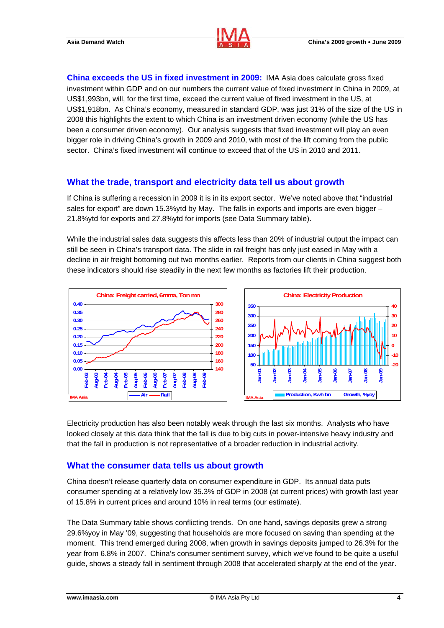

**China exceeds the US in fixed investment in 2009:** IMA Asia does calculate gross fixed investment within GDP and on our numbers the current value of fixed investment in China in 2009, at US\$1,993bn, will, for the first time, exceed the current value of fixed investment in the US, at US\$1,918bn. As China's economy, measured in standard GDP, was just 31% of the size of the US in 2008 this highlights the extent to which China is an investment driven economy (while the US has been a consumer driven economy). Our analysis suggests that fixed investment will play an even bigger role in driving China's growth in 2009 and 2010, with most of the lift coming from the public sector. China's fixed investment will continue to exceed that of the US in 2010 and 2011.

#### **What the trade, transport and electricity data tell us about growth**

If China is suffering a recession in 2009 it is in its export sector. We've noted above that "industrial sales for export" are down 15.3%ytd by May. The falls in exports and imports are even bigger – 21.8%ytd for exports and 27.8%ytd for imports (see Data Summary table).

While the industrial sales data suggests this affects less than 20% of industrial output the impact can still be seen in China's transport data. The slide in rail freight has only just eased in May with a decline in air freight bottoming out two months earlier. Reports from our clients in China suggest both these indicators should rise steadily in the next few months as factories lift their production.



Electricity production has also been notably weak through the last six months. Analysts who have looked closely at this data think that the fall is due to big cuts in power-intensive heavy industry and that the fall in production is not representative of a broader reduction in industrial activity.

#### **What the consumer data tells us about growth**

China doesn't release quarterly data on consumer expenditure in GDP. Its annual data puts consumer spending at a relatively low 35.3% of GDP in 2008 (at current prices) with growth last year of 15.8% in current prices and around 10% in real terms (our estimate).

The Data Summary table shows conflicting trends. On one hand, savings deposits grew a strong 29.6%yoy in May '09, suggesting that households are more focused on saving than spending at the moment. This trend emerged during 2008, when growth in savings deposits jumped to 26.3% for the year from 6.8% in 2007. China's consumer sentiment survey, which we've found to be quite a useful guide, shows a steady fall in sentiment through 2008 that accelerated sharply at the end of the year.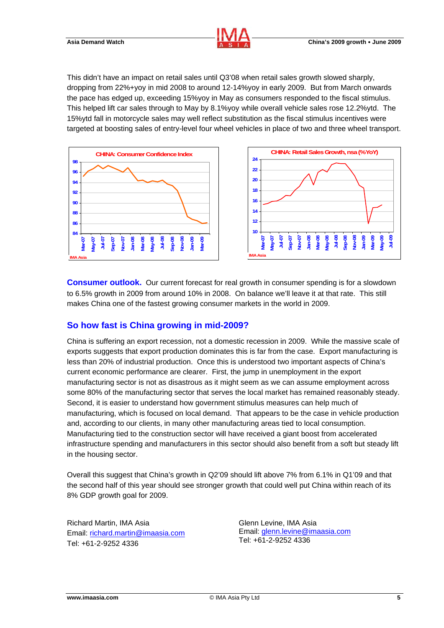This didn't have an impact on retail sales until Q3'08 when retail sales growth slowed sharply, dropping from 22%+yoy in mid 2008 to around 12-14%yoy in early 2009. But from March onwards the pace has edged up, exceeding 15%yoy in May as consumers responded to the fiscal stimulus. This helped lift car sales through to May by 8.1%yoy while overall vehicle sales rose 12.2%ytd. The 15%ytd fall in motorcycle sales may well reflect substitution as the fiscal stimulus incentives were targeted at boosting sales of entry-level four wheel vehicles in place of two and three wheel transport.





**Consumer outlook.** Our current forecast for real growth in consumer spending is for a slowdown to 6.5% growth in 2009 from around 10% in 2008. On balance we'll leave it at that rate. This still makes China one of the fastest growing consumer markets in the world in 2009.

#### **So how fast is China growing in mid-2009?**

China is suffering an export recession, not a domestic recession in 2009. While the massive scale of exports suggests that export production dominates this is far from the case. Export manufacturing is less than 20% of industrial production. Once this is understood two important aspects of China's current economic performance are clearer. First, the jump in unemployment in the export manufacturing sector is not as disastrous as it might seem as we can assume employment across some 80% of the manufacturing sector that serves the local market has remained reasonably steady. Second, it is easier to understand how government stimulus measures can help much of manufacturing, which is focused on local demand. That appears to be the case in vehicle production and, according to our clients, in many other manufacturing areas tied to local consumption. Manufacturing tied to the construction sector will have received a giant boost from accelerated infrastructure spending and manufacturers in this sector should also benefit from a soft but steady lift in the housing sector.

Overall this suggest that China's growth in Q2'09 should lift above 7% from 6.1% in Q1'09 and that the second half of this year should see stronger growth that could well put China within reach of its 8% GDP growth goal for 2009.

Richard Martin, IMA Asia Email: richard.martin@imaasia.com Tel: +61-2-9252 4336

Glenn Levine, IMA Asia Email: glenn.levine@imaasia.com Tel: +61-2-9252 4336